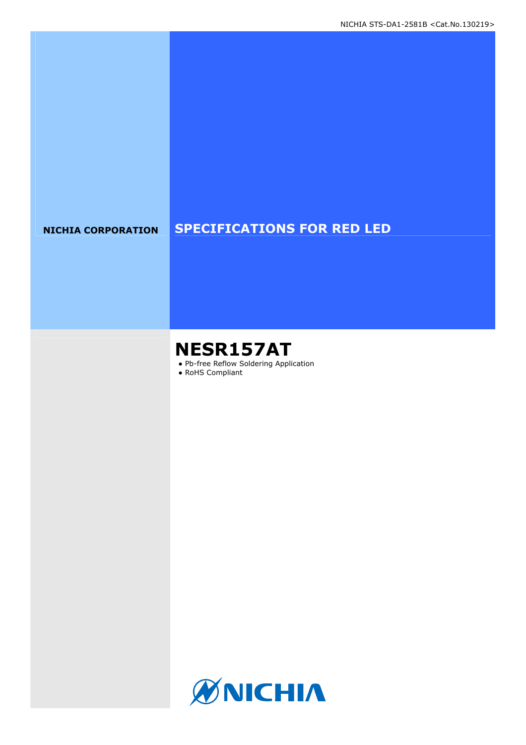### **NICHIA CORPORATION SPECIFICATIONS FOR RED LED**

# **NESR157AT**

- Pb-free Reflow Soldering Application
- RoHS Compliant

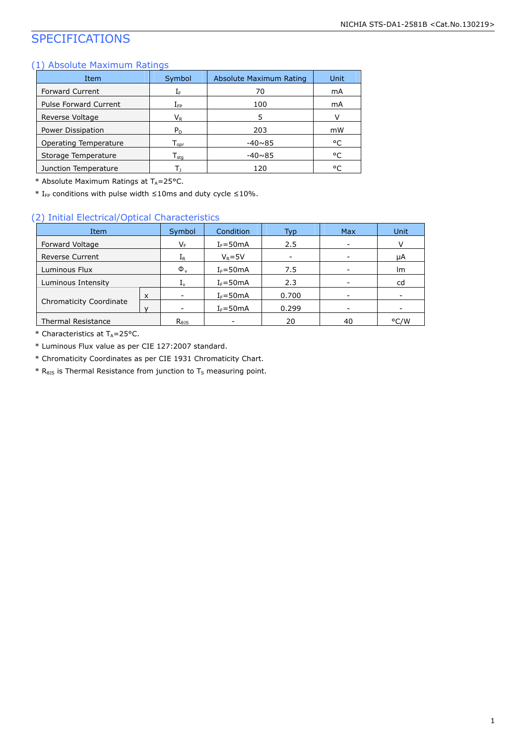### SPECIFICATIONS

#### (1) Absolute Maximum Ratings

| Item                         | Symbol                       | Absolute Maximum Rating | Unit |
|------------------------------|------------------------------|-------------------------|------|
| <b>Forward Current</b>       | ΙF                           | 70                      | mA   |
| <b>Pulse Forward Current</b> | ${\rm I}_{\sf FP}$           | 100                     | mA   |
| Reverse Voltage              | $\mathsf{V}_\mathsf{R}$      | 5                       |      |
| Power Dissipation            | $P_{D}$                      | 203                     | mW   |
| Operating Temperature        | $\mathsf{T}_{\mathsf{oor}}$  | $-40\nsim85$            | °C   |
| Storage Temperature          | ${\mathsf T}_{\textsf{sta}}$ | $-40\nu 85$             | °C   |
| Junction Temperature         |                              | 120                     | ۰C   |

\* Absolute Maximum Ratings at  $T_A = 25$ °C.

\* I<sub>FP</sub> conditions with pulse width  $\leq$ 10ms and duty cycle  $\leq$ 10%.

#### (2) Initial Electrical/Optical Characteristics

| Item                           |   | Symbol                     | Condition    | Typ   | <b>Max</b> | Unit |
|--------------------------------|---|----------------------------|--------------|-------|------------|------|
| Forward Voltage                |   | V <sub>F</sub>             | $I_F = 50mA$ | 2.5   |            | v    |
| <b>Reverse Current</b>         |   | $I_{R}$                    | $V_R = 5V$   |       |            | μA   |
| Luminous Flux                  |   | $\Phi_{v}$                 | $I_F = 50mA$ | 7.5   |            | Im   |
| Luminous Intensity             |   | $I_{\nu}$                  | $I_F = 50mA$ | 2.3   |            | cd   |
|                                | x |                            | $I_F = 50mA$ | 0.700 |            |      |
| <b>Chromaticity Coordinate</b> |   |                            | $I_F = 50mA$ | 0.299 |            |      |
| <b>Thermal Resistance</b>      |   | $R_{\theta}$ <sub>15</sub> |              | 20    | 40         | °C/W |

 $*$  Characteristics at T<sub>A</sub>=25°C.

\* Luminous Flux value as per CIE 127:2007 standard.

\* Chromaticity Coordinates as per CIE 1931 Chromaticity Chart.

 $*$  R<sub>0JS</sub> is Thermal Resistance from junction to T<sub>S</sub> measuring point.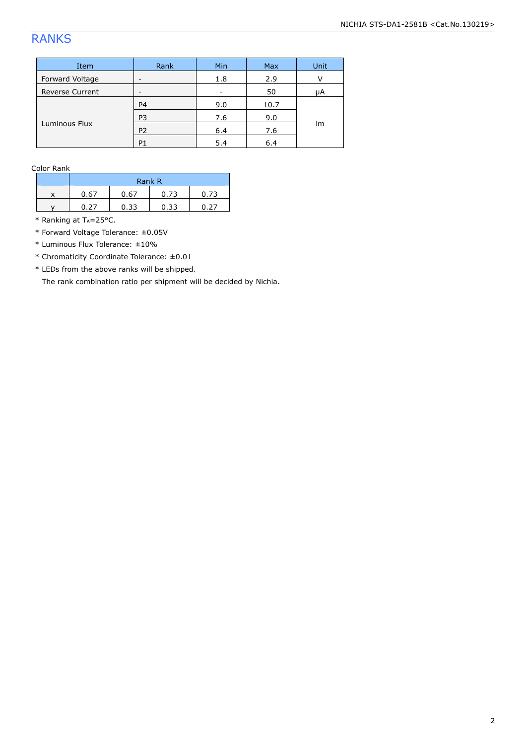### RANKS

| Item                   | Rank           | Min | Max  | Unit |  |
|------------------------|----------------|-----|------|------|--|
| Forward Voltage        | -              | 1.8 | 2.9  |      |  |
| <b>Reverse Current</b> | -              | -   | 50   | μA   |  |
| Luminous Flux          | P <sub>4</sub> | 9.0 | 10.7 |      |  |
|                        | P <sub>3</sub> | 7.6 | 9.0  |      |  |
|                        | P <sub>2</sub> | 6.4 | 7.6  | Im   |  |
|                        | P <sub>1</sub> | 5.4 | 6.4  |      |  |

Color Rank

| Rank R |      |      |      |  |
|--------|------|------|------|--|
| -67    | 5.67 | 0.73 | በ 73 |  |
|        | 0.33 | 0.33 | דר ו |  |

\* Ranking at  $T_A = 25$ °C.

\* Forward Voltage Tolerance: ±0.05V

\* Luminous Flux Tolerance: ±10%

\* Chromaticity Coordinate Tolerance: ±0.01

\* LEDs from the above ranks will be shipped.

The rank combination ratio per shipment will be decided by Nichia.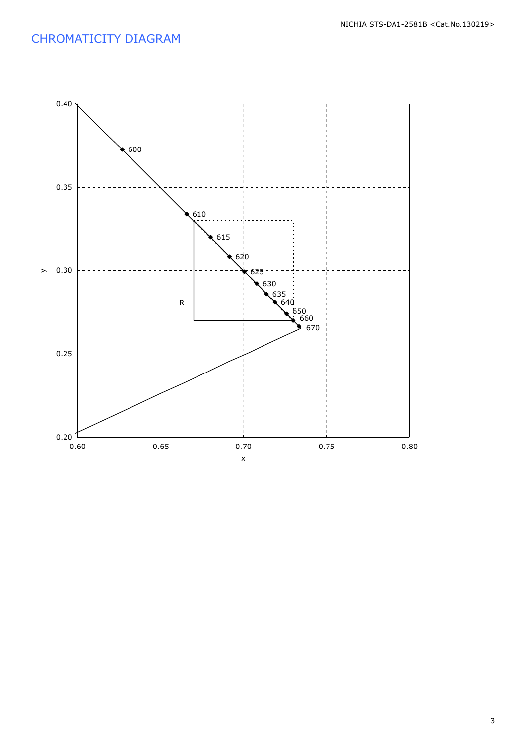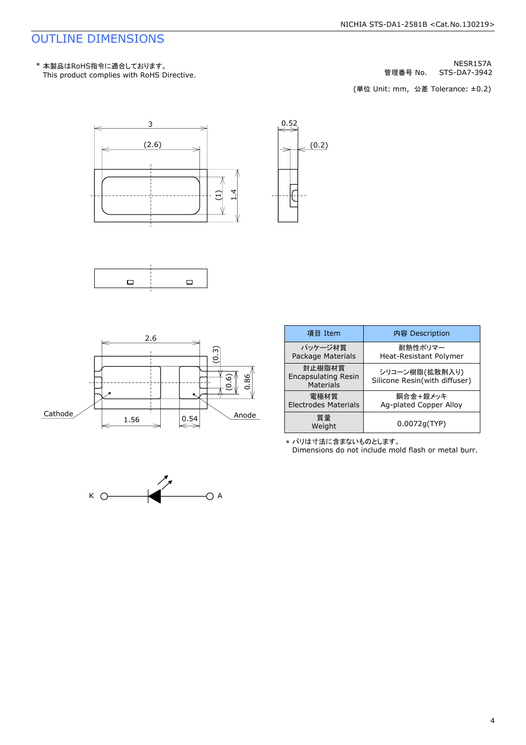### OUTLINE DIMENSIONS

STS-DA7-3942 NESR157A 管理番号 No.

(単位 Unit: mm, 公差 Tolerance: ±0.2)









| 項目 Item                                           | 内容 Description                                  |
|---------------------------------------------------|-------------------------------------------------|
| パッケージ材質<br>Package Materials                      | 耐熱性ポリマー<br>Heat-Resistant Polymer               |
| 封止樹脂材質<br><b>Encapsulating Resin</b><br>Materials | シリコーン樹脂(拡散剤入り)<br>Silicone Resin(with diffuser) |
| 雷極材質<br><b>Electrodes Materials</b>               | 銅合金+銀メッキ<br>Ag-plated Copper Alloy              |
| 質量<br>Weight                                      | 0.0072q(TYP)                                    |

\* バリは寸法に含まないものとします 。

Dimensions do not include mold flash or metal burr.

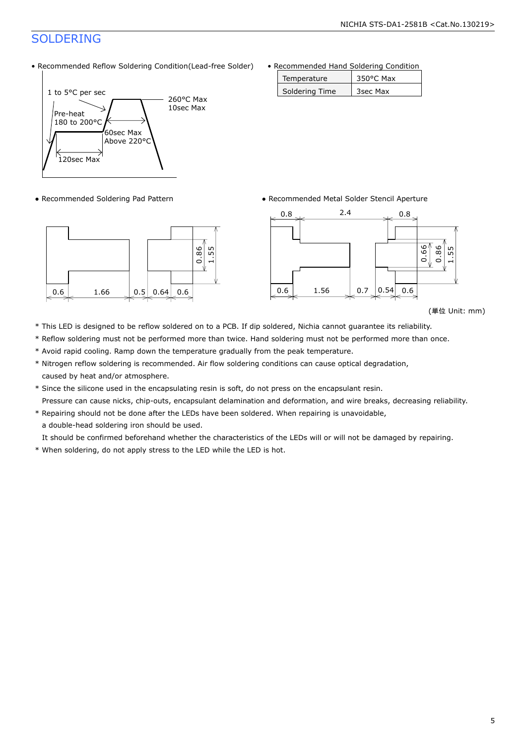### SOLDERING

• Recommended Reflow Soldering Condition(Lead-free Solder)



• Recommended Hand Soldering Condition

| Temperature    | 350°C Max |
|----------------|-----------|
| Soldering Time | 3sec Max  |

• Recommended Soldering Pad Pattern **• Recommended Metal Solder Stencil Aperture** 





<sup>(</sup>単位 Unit: mm)

- \* This LED is designed to be reflow soldered on to a PCB. If dip soldered, Nichia cannot guarantee its reliability.
- \* Reflow soldering must not be performed more than twice. Hand soldering must not be performed more than once.
- \* Avoid rapid cooling. Ramp down the temperature gradually from the peak temperature.
- \* Nitrogen reflow soldering is recommended. Air flow soldering conditions can cause optical degradation, caused by heat and/or atmosphere.
- \* Since the silicone used in the encapsulating resin is soft, do not press on the encapsulant resin. Pressure can cause nicks, chip-outs, encapsulant delamination and deformation, and wire breaks, decreasing reliability.
- \* Repairing should not be done after the LEDs have been soldered. When repairing is unavoidable, a double-head soldering iron should be used.

It should be confirmed beforehand whether the characteristics of the LEDs will or will not be damaged by repairing.

\* When soldering, do not apply stress to the LED while the LED is hot.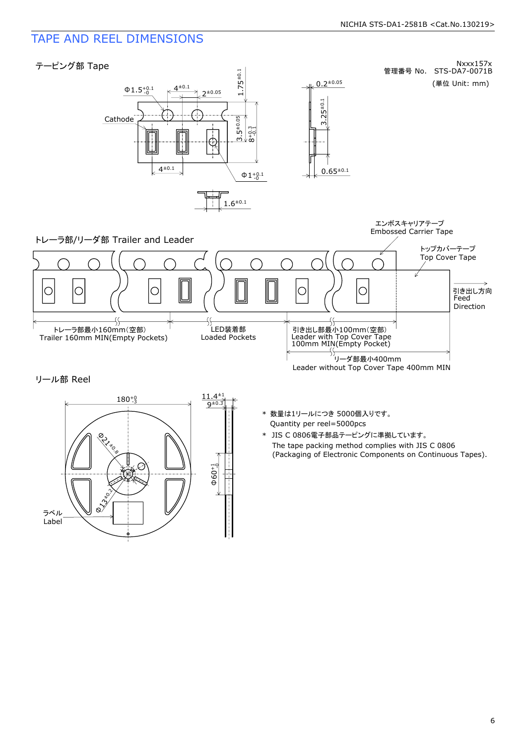### TAPE AND REEL DIMENSIONS



リール部 Reel



- Quantity per reel=5000pcs \* 数量は1リールにつき 5000個入りです 。
- The tape packing method complies with JIS C 0806 (Packaging of Electronic Components on Continuous Tapes). \* JIS C 0806電子部品テーピングに準拠しています 。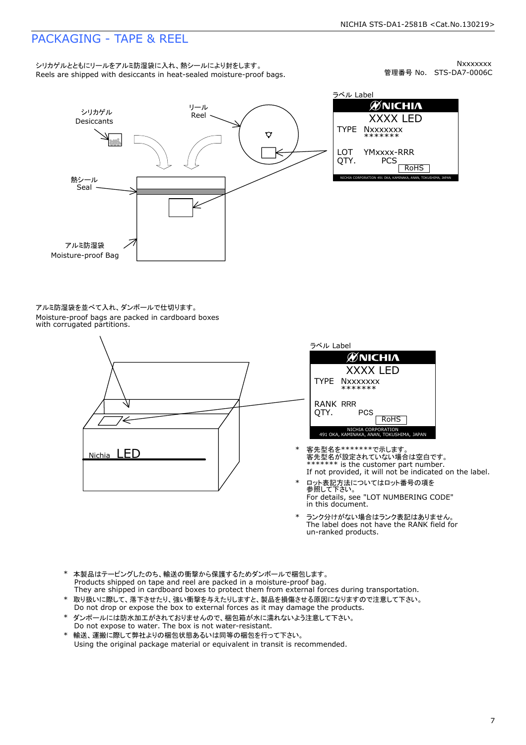### PACKAGING - TAPE & REEL

Reels are shipped with desiccants in heat-sealed moisture-proof bags. シリカゲルとともにリールをアルミ防湿袋に入れ、熱シールにより封をします。

管理番号 No. STS-DA7-0006C **Nxxxxxxx** 



ラベル Label **ØNICHIA** XXXX LED TYPE **Nxxxxxxx** \*\*\*\*\*\*\* LOT YMxxxx-RRR QTY. **PCS** RoHS NICHIA CORPORATION 491 OKA, KAMINAKA, ANAN, TOKUSHIMA, JAPAN

Moisture-proof bags are packed in cardboard boxes with corrugated partitions. アルミ防湿袋を並べて入れ、ダンボールで仕切ります。



| ラベル Label               |                                                                 |
|-------------------------|-----------------------------------------------------------------|
|                         | <b>ØNICHIA</b>                                                  |
|                         | <b>XXXX LED</b>                                                 |
|                         | TYPE Nxxxxxxx<br>*******                                        |
| <b>RANK RRR</b><br>OTY. | PCS<br><b>RoHS</b>                                              |
|                         | NICHIA CORPORATION<br>491 OKA, KAMINAKA, ANAN, TOKUSHIMA, JAPAN |

- If not provided, it will not be indicated on the label. \*\*\*\*\*\*\* is the customer part number. 客先型名が設定されていない場合は空白です 。 \* 客先型名を\*\*\*\*\*\*\*で示します。
- \* ロット表記方法についてはロット番号の項を<br> 参照して下さい。 For details, see "LOT NUMBERING CODE" in this document.
- The label does not have the RANK field for un-ranked products. ランク分けがない場合はランク表記はありません。
- Products shipped on tape and reel are packed in a moisture-proof bag. \* 本製品はテーピングしたのち、輸送の衝撃から保護するためダンボールで梱包します。
- \* 取り扱いに際して、落下させたり、強い衝撃を与えたりしますと、製品を損傷させる原因になりますので注意して下さい。 Do not drop or expose the box to external forces as it may damage the products. They are shipped in cardboard boxes to protect them from external forces during transportation.
- \* ダンボールには防水加工がされておりませんので、梱包箱が水に濡れないよう注意して下さい。
- 輸送、運搬に際して弊社よりの梱包状態あるいは同等の梱包を行って下さい。 Do not expose to water. The box is not water-resistant.
- Using the original package material or equivalent in transit is recommended.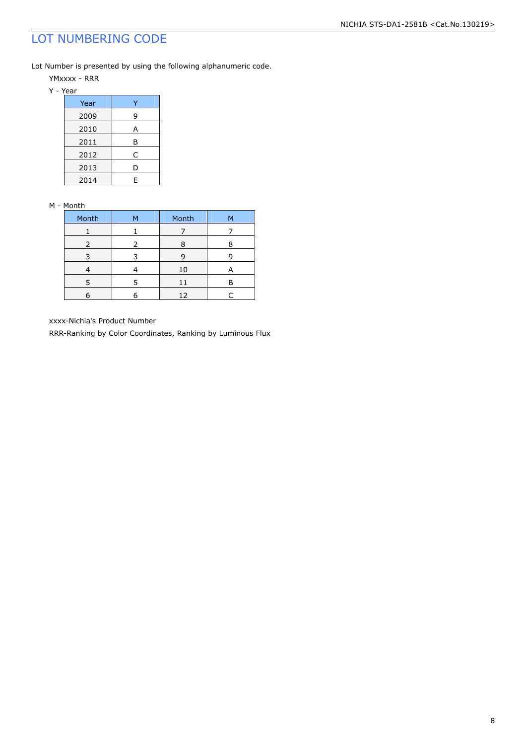### LOT NUMBERING CODE

Lot Number is presented by using the following alphanumeric code.

YMxxxx - RRR

| Year |   |
|------|---|
| 2009 | 9 |
| 2010 | А |
| 2011 | В |
| 2012 | C |
| 2013 | D |
| 2014 | F |

#### M - Month

| Month         | м | Month |  |
|---------------|---|-------|--|
|               |   |       |  |
| $\mathcal{L}$ |   | ႙     |  |
|               |   | g     |  |
|               |   | 10    |  |
|               |   | 11    |  |
|               |   | 12    |  |

xxxx-Nichia's Product Number

RRR-Ranking by Color Coordinates, Ranking by Luminous Flux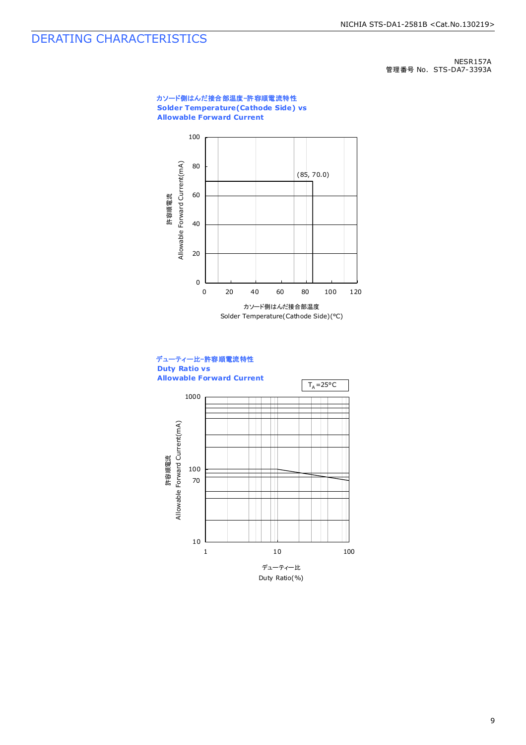### DERATING CHARACTERISTICS

NESR157A 管理番号 No. STS-DA7-3393A

#### カソード側はんだ接合部温度-許容順電流特性 **Solder Temperature(Cathode Side) vs Allowable Forward Current**





9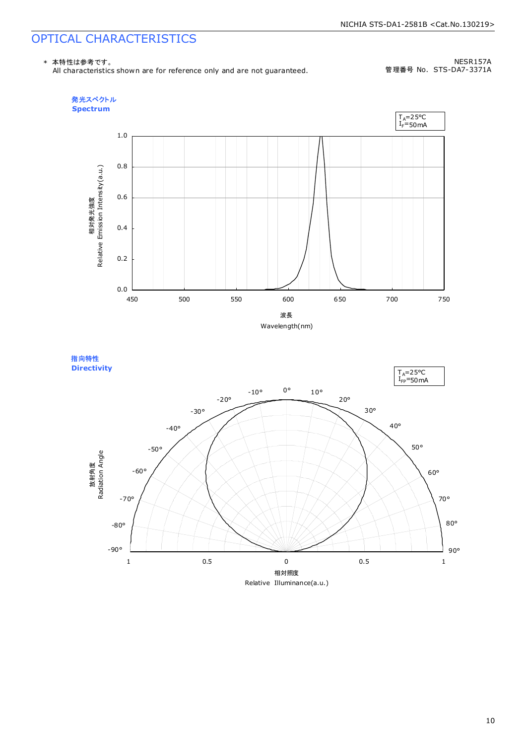### OPTICAL CHARACTERISTICS

\* 本特性は参考です。

All characteristics shown are for reference only and are not guaranteed.

NESR157A 管理番号 No. STS-DA7-3371A



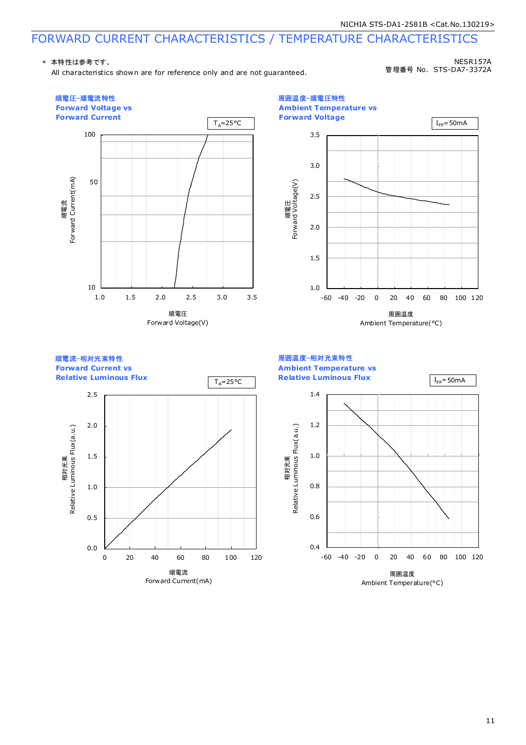### FORWARD CURRENT CHARACTERISTICS / TEMPERATURE CHARACTERISTICS

#### \* 本特性は参考です。

All characteristics shown are for reference only and are not guaranteed.

NESR157A 管理番号 No. STS-DA7-3372A



11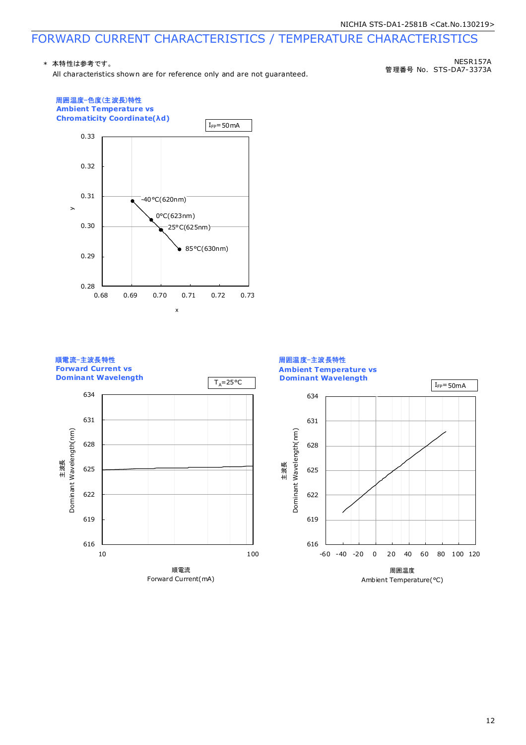## FORWARD CURRENT CHARACTERISTICS / TEMPERATURE CHARACTERISTICS

#### \* 本特性は参考です。

All characteristics shown are for reference only and are not guaranteed.

管理番号 No. STS-DA7-3373A NESR157A



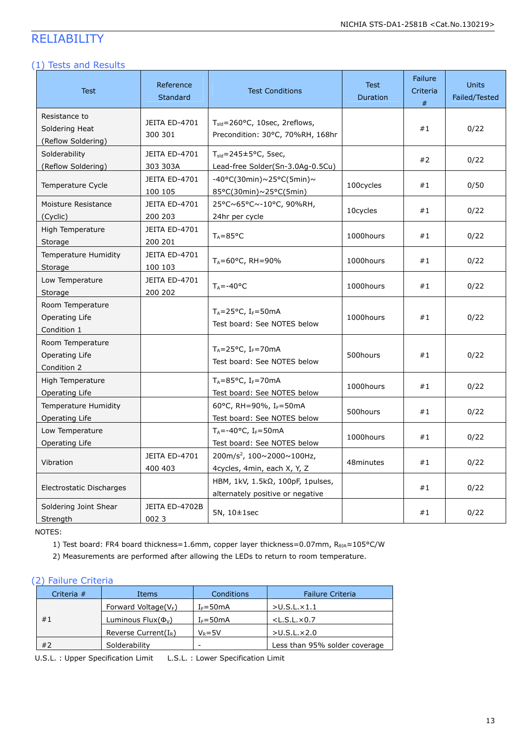### RELIABILITY

#### (1) Tests and Results

| Test                                                  | Reference<br>Standard            | <b>Test Conditions</b>                                                            | <b>Test</b><br>Duration | <b>Failure</b><br>Criteria<br># | <b>Units</b><br>Failed/Tested |
|-------------------------------------------------------|----------------------------------|-----------------------------------------------------------------------------------|-------------------------|---------------------------------|-------------------------------|
| Resistance to<br>Soldering Heat<br>(Reflow Soldering) | <b>JEITA ED-4701</b><br>300 301  | $T_{\text{std}}$ =260°C, 10sec, 2reflows,<br>Precondition: 30°C, 70%RH, 168hr     |                         | #1                              | 0/22                          |
| Solderability<br>(Reflow Soldering)                   | <b>JEITA ED-4701</b><br>303 303A | $T_{\text{std}} = 245 \pm 5^{\circ}$ C, 5sec,<br>Lead-free Solder(Sn-3.0Ag-0.5Cu) |                         | #2                              | 0/22                          |
| Temperature Cycle                                     | JEITA ED-4701<br>100 105         | $-40\degree$ C(30min)~25°C(5min)~<br>85°C(30min)~25°C(5min)                       | 100cycles               | #1                              | 0/50                          |
| Moisture Resistance<br>(Cyclic)                       | <b>JEITA ED-4701</b><br>200 203  | 25°C~65°C~-10°C, 90%RH,<br>24hr per cycle                                         | 10cycles                | #1                              | 0/22                          |
| High Temperature<br>Storage                           | <b>JEITA ED-4701</b><br>200 201  | $T_A = 85^{\circ}C$                                                               | 1000hours               | #1                              | 0/22                          |
| <b>Temperature Humidity</b><br>Storage                | <b>JEITA ED-4701</b><br>100 103  | $T_A = 60^{\circ}$ C, RH = 90%                                                    | 1000hours               | #1                              | 0/22                          |
| Low Temperature<br>Storage                            | JEITA ED-4701<br>200 202         | $T_A = -40$ °C                                                                    | 1000hours               | #1                              | 0/22                          |
| Room Temperature<br>Operating Life<br>Condition 1     |                                  | $T_A = 25^{\circ}C$ , I <sub>F</sub> =50mA<br>Test board: See NOTES below         | 1000hours               | #1                              | 0/22                          |
| Room Temperature<br>Operating Life<br>Condition 2     |                                  | $T_A = 25^{\circ}C$ , I <sub>F</sub> =70mA<br>Test board: See NOTES below         | 500hours                | #1                              | 0/22                          |
| High Temperature<br>Operating Life                    |                                  | $T_A = 85$ °C, I <sub>F</sub> =70mA<br>Test board: See NOTES below                | 1000hours               | #1                              | 0/22                          |
| Temperature Humidity<br>Operating Life                |                                  | 60°C, RH=90%, I <sub>F</sub> =50mA<br>Test board: See NOTES below                 | 500hours                | #1                              | 0/22                          |
| Low Temperature<br>Operating Life                     |                                  | $T_A = -40$ °C, I <sub>F</sub> =50mA<br>Test board: See NOTES below               | 1000hours               | #1                              | 0/22                          |
| Vibration                                             | <b>JEITA ED-4701</b><br>400 403  | 200m/s <sup>2</sup> , 100~2000~100Hz,<br>4cycles, 4min, each X, Y, Z              | 48minutes               | #1                              | 0/22                          |
| Electrostatic Discharges                              |                                  | HBM, 1kV, 1.5kΩ, 100pF, 1pulses,<br>alternately positive or negative              |                         | #1                              | 0/22                          |
| Soldering Joint Shear<br>Strength                     | JEITA ED-4702B<br>0023           | $5N, 10\pm 1sec$                                                                  |                         | #1                              | 0/22                          |

NOTES:

1) Test board: FR4 board thickness=1.6mm, copper layer thickness=0.07mm, R<sub>0JA</sub>≈105°C/W

2) Measurements are performed after allowing the LEDs to return to room temperature.

### (2) Failure Criteria

| Criteria $#$ | Items                                | Conditions       | <b>Failure Criteria</b>       |
|--------------|--------------------------------------|------------------|-------------------------------|
|              | Forward Voltage( $V_F$ )             | $I_F = 50mA$     | >U.S.L.x1.1                   |
| #1           | Luminous Flux( $\Phi$ <sub>V</sub> ) | $I_F = 50mA$     | $<$ L.S.L. $\times$ 0.7       |
|              | Reverse Current( $I_R$ )             | $V_{\rm B} = 5V$ | $>U.S.L. \times 2.0$          |
| #2           | Solderability                        | -                | Less than 95% solder coverage |

U.S.L. : Upper Specification Limit L.S.L. : Lower Specification Limit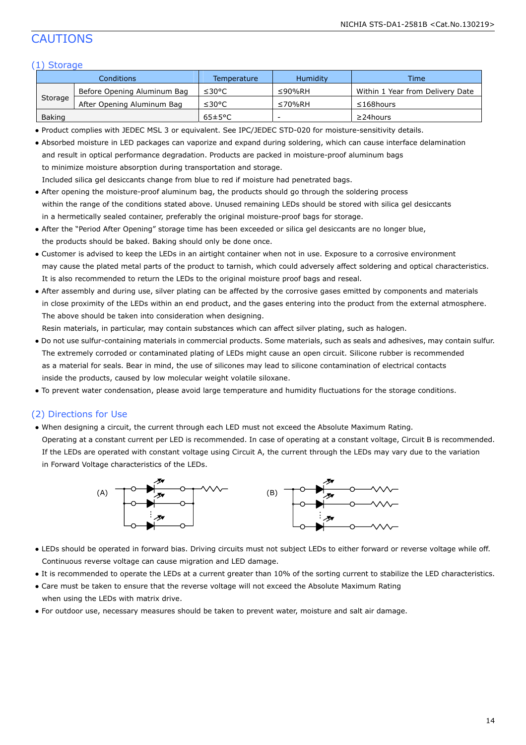### CAUTIONS

#### (1) Storage

| Conditions    |                             | Temperature          | Humidity       | <b>Time</b>                      |
|---------------|-----------------------------|----------------------|----------------|----------------------------------|
| Storage       | Before Opening Aluminum Bag | ≤30°C                | ≤90%RH         | Within 1 Year from Delivery Date |
|               | After Opening Aluminum Bag  | ≤30°C                | $\leq 70\%$ RH | $\leq$ 168 hours                 |
| <b>Baking</b> |                             | $65 \pm 5^{\circ}$ C |                | $\geq$ 24 hours                  |

● Product complies with JEDEC MSL 3 or equivalent. See IPC/JEDEC STD-020 for moisture-sensitivity details.

| • Absorbed moisture in LED packages can vaporize and expand during soldering, which can cause interface delamination |
|----------------------------------------------------------------------------------------------------------------------|
| and result in optical performance degradation. Products are packed in moisture-proof aluminum bags                   |
| to minimize moisture absorption during transportation and storage.                                                   |
| Included silica gel desiccants change from blue to red if moisture had penetrated bags.                              |

- After opening the moisture-proof aluminum bag, the products should go through the soldering process within the range of the conditions stated above. Unused remaining LEDs should be stored with silica gel desiccants in a hermetically sealed container, preferably the original moisture-proof bags for storage.
- After the "Period After Opening" storage time has been exceeded or silica gel desiccants are no longer blue, the products should be baked. Baking should only be done once.
- Customer is advised to keep the LEDs in an airtight container when not in use. Exposure to a corrosive environment may cause the plated metal parts of the product to tarnish, which could adversely affect soldering and optical characteristics. It is also recommended to return the LEDs to the original moisture proof bags and reseal.
- After assembly and during use, silver plating can be affected by the corrosive gases emitted by components and materials in close proximity of the LEDs within an end product, and the gases entering into the product from the external atmosphere. The above should be taken into consideration when designing.

Resin materials, in particular, may contain substances which can affect silver plating, such as halogen.

- Do not use sulfur-containing materials in commercial products. Some materials, such as seals and adhesives, may contain sulfur. The extremely corroded or contaminated plating of LEDs might cause an open circuit. Silicone rubber is recommended as a material for seals. Bear in mind, the use of silicones may lead to silicone contamination of electrical contacts inside the products, caused by low molecular weight volatile siloxane.
- To prevent water condensation, please avoid large temperature and humidity fluctuations for the storage conditions.

#### (2) Directions for Use

● When designing a circuit, the current through each LED must not exceed the Absolute Maximum Rating.

 Operating at a constant current per LED is recommended. In case of operating at a constant voltage, Circuit B is recommended. If the LEDs are operated with constant voltage using Circuit A, the current through the LEDs may vary due to the variation in Forward Voltage characteristics of the LEDs.



- LEDs should be operated in forward bias. Driving circuits must not subject LEDs to either forward or reverse voltage while off. Continuous reverse voltage can cause migration and LED damage.
- It is recommended to operate the LEDs at a current greater than 10% of the sorting current to stabilize the LED characteristics.
- Care must be taken to ensure that the reverse voltage will not exceed the Absolute Maximum Rating when using the LEDs with matrix drive.
- For outdoor use, necessary measures should be taken to prevent water, moisture and salt air damage.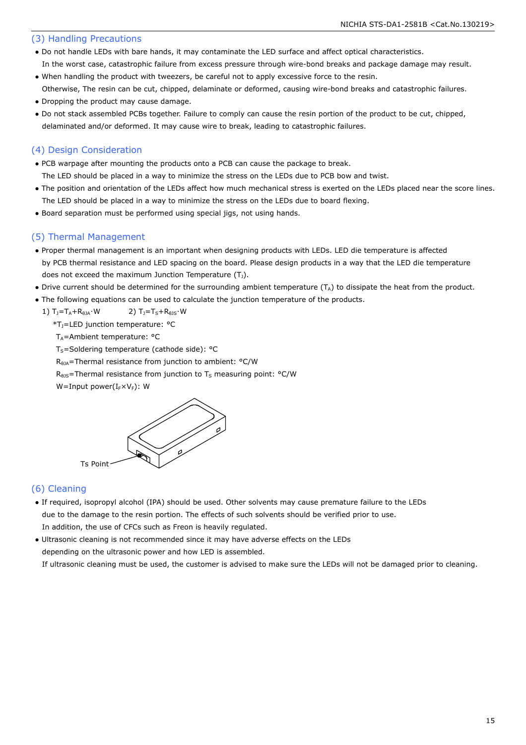#### (3) Handling Precautions

- Do not handle LEDs with bare hands, it may contaminate the LED surface and affect optical characteristics. In the worst case, catastrophic failure from excess pressure through wire-bond breaks and package damage may result.
- When handling the product with tweezers, be careful not to apply excessive force to the resin.
- Otherwise, The resin can be cut, chipped, delaminate or deformed, causing wire-bond breaks and catastrophic failures. ● Dropping the product may cause damage.
- Do not stack assembled PCBs together. Failure to comply can cause the resin portion of the product to be cut, chipped, delaminated and/or deformed. It may cause wire to break, leading to catastrophic failures.

#### (4) Design Consideration

- PCB warpage after mounting the products onto a PCB can cause the package to break. The LED should be placed in a way to minimize the stress on the LEDs due to PCB bow and twist.
- The position and orientation of the LEDs affect how much mechanical stress is exerted on the LEDs placed near the score lines. The LED should be placed in a way to minimize the stress on the LEDs due to board flexing.
- Board separation must be performed using special jigs, not using hands.

#### (5) Thermal Management

- Proper thermal management is an important when designing products with LEDs. LED die temperature is affected by PCB thermal resistance and LED spacing on the board. Please design products in a way that the LED die temperature does not exceed the maximum Junction Temperature  $(T_1)$ .
- Drive current should be determined for the surrounding ambient temperature ( $T_A$ ) to dissipate the heat from the product.
- The following equations can be used to calculate the junction temperature of the products.
	- 1)  $T_J = T_A + R_{\theta JA} \cdot W$  2)  $T_J = T_S + R_{\theta JS} \cdot W$ 
		- \*TJ=LED junction temperature: °C

T<sub>A</sub>=Ambient temperature: °C

 $T_S$ =Soldering temperature (cathode side): °C

RθJA=Thermal resistance from junction to ambient: °C/W

 $R<sub>0JS</sub>$ =Thermal resistance from junction to T<sub>s</sub> measuring point: °C/W

W=Input power( $I_F\times V_F$ ): W



#### (6) Cleaning

● If required, isopropyl alcohol (IPA) should be used. Other solvents may cause premature failure to the LEDs due to the damage to the resin portion. The effects of such solvents should be verified prior to use. In addition, the use of CFCs such as Freon is heavily regulated.

● Ultrasonic cleaning is not recommended since it may have adverse effects on the LEDs depending on the ultrasonic power and how LED is assembled. If ultrasonic cleaning must be used, the customer is advised to make sure the LEDs will not be damaged prior to cleaning.